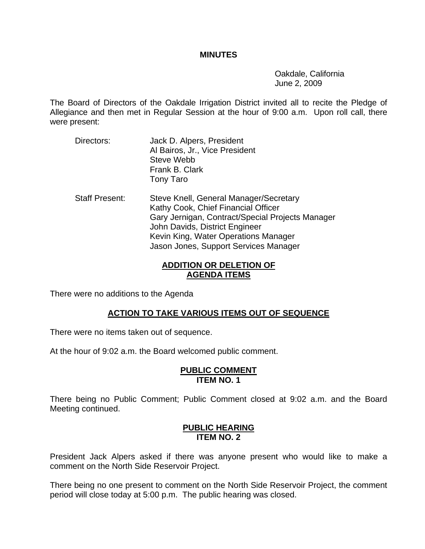### **MINUTES**

 Oakdale, California June 2, 2009

The Board of Directors of the Oakdale Irrigation District invited all to recite the Pledge of Allegiance and then met in Regular Session at the hour of 9:00 a.m. Upon roll call, there were present:

- Directors: Jack D. Alpers, President Al Bairos, Jr., Vice President Steve Webb Frank B. Clark Tony Taro
- Staff Present: Steve Knell, General Manager/Secretary Kathy Cook, Chief Financial Officer Gary Jernigan, Contract/Special Projects Manager John Davids, District Engineer Kevin King, Water Operations Manager Jason Jones, Support Services Manager

## **ADDITION OR DELETION OF AGENDA ITEMS**

There were no additions to the Agenda

# **ACTION TO TAKE VARIOUS ITEMS OUT OF SEQUENCE**

There were no items taken out of sequence.

At the hour of 9:02 a.m. the Board welcomed public comment.

### **PUBLIC COMMENT ITEM NO. 1**

There being no Public Comment; Public Comment closed at 9:02 a.m. and the Board Meeting continued.

## **PUBLIC HEARING ITEM NO. 2**

President Jack Alpers asked if there was anyone present who would like to make a comment on the North Side Reservoir Project.

There being no one present to comment on the North Side Reservoir Project, the comment period will close today at 5:00 p.m. The public hearing was closed.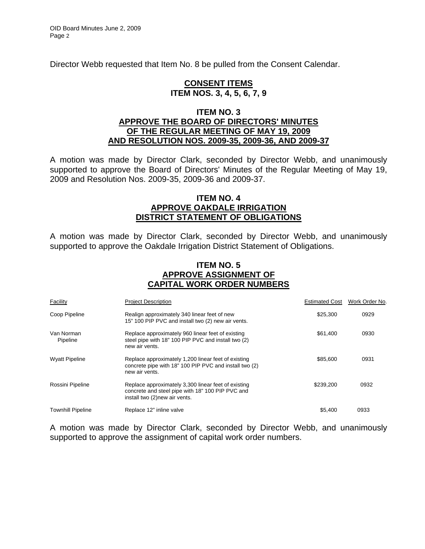Director Webb requested that Item No. 8 be pulled from the Consent Calendar.

### **CONSENT ITEMS ITEM NOS. 3, 4, 5, 6, 7, 9**

### **ITEM NO. 3 APPROVE THE BOARD OF DIRECTORS' MINUTES OF THE REGULAR MEETING OF MAY 19, 2009 AND RESOLUTION NOS. 2009-35, 2009-36, AND 2009-37**

A motion was made by Director Clark, seconded by Director Webb, and unanimously supported to approve the Board of Directors' Minutes of the Regular Meeting of May 19, 2009 and Resolution Nos. 2009-35, 2009-36 and 2009-37.

### **ITEM NO. 4 APPROVE OAKDALE IRRIGATION DISTRICT STATEMENT OF OBLIGATIONS**

A motion was made by Director Clark, seconded by Director Webb, and unanimously supported to approve the Oakdale Irrigation District Statement of Obligations.

### **ITEM NO. 5 APPROVE ASSIGNMENT OF CAPITAL WORK ORDER NUMBERS**

| Facility                 | <b>Project Description</b>                                                                                                                | <b>Estimated Cost</b> | Work Order No. |
|--------------------------|-------------------------------------------------------------------------------------------------------------------------------------------|-----------------------|----------------|
| Coop Pipeline            | Realign approximately 340 linear feet of new<br>15" 100 PIP PVC and install two (2) new air vents.                                        | \$25,300              | 0929           |
| Van Norman<br>Pipeline   | Replace approximately 960 linear feet of existing<br>steel pipe with 18" 100 PIP PVC and install two (2)<br>new air vents.                | \$61,400              | 0930           |
| <b>Wyatt Pipeline</b>    | Replace approximately 1,200 linear feet of existing<br>concrete pipe with 18" 100 PIP PVC and install two (2)<br>new air vents.           | \$85,600              | 0931           |
| Rossini Pipeline         | Replace approximately 3,300 linear feet of existing<br>concrete and steel pipe with 18" 100 PIP PVC and<br>install two (2) new air vents. | \$239,200             | 0932           |
| <b>Townhill Pipeline</b> | Replace 12" inline valve                                                                                                                  | \$5.400               | 0933           |

A motion was made by Director Clark, seconded by Director Webb, and unanimously supported to approve the assignment of capital work order numbers.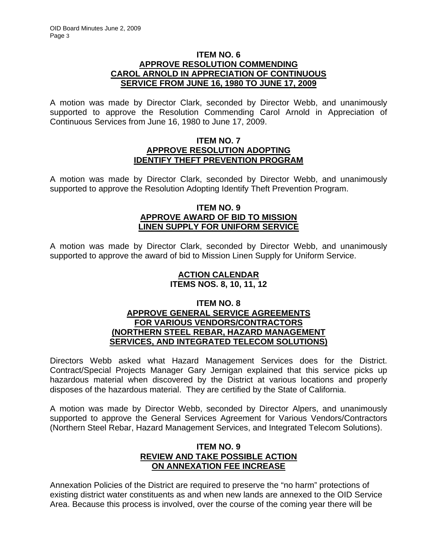## **ITEM NO. 6 APPROVE RESOLUTION COMMENDING CAROL ARNOLD IN APPRECIATION OF CONTINUOUS SERVICE FROM JUNE 16, 1980 TO JUNE 17, 2009**

A motion was made by Director Clark, seconded by Director Webb, and unanimously supported to approve the Resolution Commending Carol Arnold in Appreciation of Continuous Services from June 16, 1980 to June 17, 2009.

### **ITEM NO. 7 APPROVE RESOLUTION ADOPTING IDENTIFY THEFT PREVENTION PROGRAM**

A motion was made by Director Clark, seconded by Director Webb, and unanimously supported to approve the Resolution Adopting Identify Theft Prevention Program.

## **ITEM NO. 9 APPROVE AWARD OF BID TO MISSION LINEN SUPPLY FOR UNIFORM SERVICE**

A motion was made by Director Clark, seconded by Director Webb, and unanimously supported to approve the award of bid to Mission Linen Supply for Uniform Service.

## **ACTION CALENDAR ITEMS NOS. 8, 10, 11, 12**

### **ITEM NO. 8 APPROVE GENERAL SERVICE AGREEMENTS FOR VARIOUS VENDORS/CONTRACTORS (NORTHERN STEEL REBAR, HAZARD MANAGEMENT SERVICES, AND INTEGRATED TELECOM SOLUTIONS)**

Directors Webb asked what Hazard Management Services does for the District. Contract/Special Projects Manager Gary Jernigan explained that this service picks up hazardous material when discovered by the District at various locations and properly disposes of the hazardous material. They are certified by the State of California.

A motion was made by Director Webb, seconded by Director Alpers, and unanimously supported to approve the General Services Agreement for Various Vendors/Contractors (Northern Steel Rebar, Hazard Management Services, and Integrated Telecom Solutions).

# **ITEM NO. 9 REVIEW AND TAKE POSSIBLE ACTION ON ANNEXATION FEE INCREASE**

Annexation Policies of the District are required to preserve the "no harm" protections of existing district water constituents as and when new lands are annexed to the OID Service Area. Because this process is involved, over the course of the coming year there will be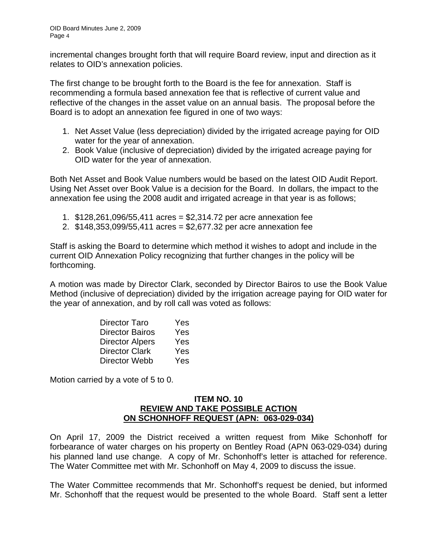incremental changes brought forth that will require Board review, input and direction as it relates to OID's annexation policies.

The first change to be brought forth to the Board is the fee for annexation. Staff is recommending a formula based annexation fee that is reflective of current value and reflective of the changes in the asset value on an annual basis. The proposal before the Board is to adopt an annexation fee figured in one of two ways:

- 1. Net Asset Value (less depreciation) divided by the irrigated acreage paying for OID water for the year of annexation.
- 2. Book Value (inclusive of depreciation) divided by the irrigated acreage paying for OID water for the year of annexation.

Both Net Asset and Book Value numbers would be based on the latest OID Audit Report. Using Net Asset over Book Value is a decision for the Board. In dollars, the impact to the annexation fee using the 2008 audit and irrigated acreage in that year is as follows;

- 1. \$128,261,096/55,411 acres = \$2,314.72 per acre annexation fee
- 2. \$148,353,099/55,411 acres = \$2,677.32 per acre annexation fee

Staff is asking the Board to determine which method it wishes to adopt and include in the current OID Annexation Policy recognizing that further changes in the policy will be forthcoming.

A motion was made by Director Clark, seconded by Director Bairos to use the Book Value Method (inclusive of depreciation) divided by the irrigation acreage paying for OID water for the year of annexation, and by roll call was voted as follows:

| Director Taro          | Yes |
|------------------------|-----|
| <b>Director Bairos</b> | Yes |
| <b>Director Alpers</b> | Yes |
| <b>Director Clark</b>  | Yes |
| Director Webb          | Yes |

Motion carried by a vote of 5 to 0.

### **ITEM NO. 10 REVIEW AND TAKE POSSIBLE ACTION ON SCHONHOFF REQUEST (APN: 063-029-034)**

On April 17, 2009 the District received a written request from Mike Schonhoff for forbearance of water charges on his property on Bentley Road (APN 063-029-034) during his planned land use change. A copy of Mr. Schonhoff's letter is attached for reference. The Water Committee met with Mr. Schonhoff on May 4, 2009 to discuss the issue.

The Water Committee recommends that Mr. Schonhoff's request be denied, but informed Mr. Schonhoff that the request would be presented to the whole Board. Staff sent a letter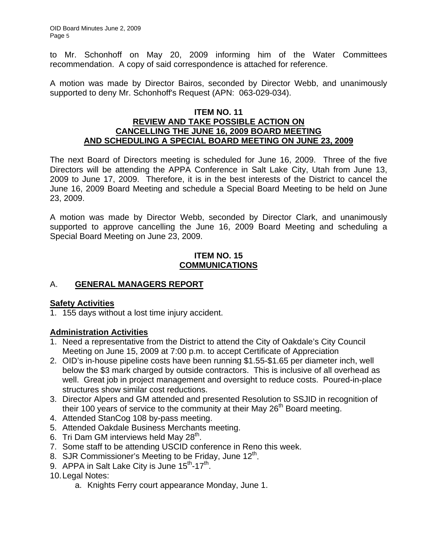to Mr. Schonhoff on May 20, 2009 informing him of the Water Committees recommendation. A copy of said correspondence is attached for reference.

A motion was made by Director Bairos, seconded by Director Webb, and unanimously supported to deny Mr. Schonhoff's Request (APN: 063-029-034).

### **ITEM NO. 11 REVIEW AND TAKE POSSIBLE ACTION ON CANCELLING THE JUNE 16, 2009 BOARD MEETING AND SCHEDULING A SPECIAL BOARD MEETING ON JUNE 23, 2009**

The next Board of Directors meeting is scheduled for June 16, 2009. Three of the five Directors will be attending the APPA Conference in Salt Lake City, Utah from June 13, 2009 to June 17, 2009. Therefore, it is in the best interests of the District to cancel the June 16, 2009 Board Meeting and schedule a Special Board Meeting to be held on June 23, 2009.

A motion was made by Director Webb, seconded by Director Clark, and unanimously supported to approve cancelling the June 16, 2009 Board Meeting and scheduling a Special Board Meeting on June 23, 2009.

# **ITEM NO. 15 COMMUNICATIONS**

# A. **GENERAL MANAGERS REPORT**

# **Safety Activities**

1. 155 days without a lost time injury accident.

# **Administration Activities**

- 1. Need a representative from the District to attend the City of Oakdale's City Council Meeting on June 15, 2009 at 7:00 p.m. to accept Certificate of Appreciation
- 2. OID's in-house pipeline costs have been running \$1.55-\$1.65 per diameter inch, well below the \$3 mark charged by outside contractors. This is inclusive of all overhead as well. Great job in project management and oversight to reduce costs. Poured-in-place structures show similar cost reductions.
- 3. Director Alpers and GM attended and presented Resolution to SSJID in recognition of their 100 years of service to the community at their May 26<sup>th</sup> Board meeting.
- 4. Attended StanCog 108 by-pass meeting.
- 5. Attended Oakdale Business Merchants meeting.
- 6. Tri Dam GM interviews held May  $28<sup>th</sup>$ .
- 7. Some staff to be attending USCID conference in Reno this week.
- 8. SJR Commissioner's Meeting to be Friday, June  $12<sup>th</sup>$ .
- 9. APPA in Salt Lake City is June  $15^{th}$ -17<sup>th</sup>.
- 10. Legal Notes:
	- a. Knights Ferry court appearance Monday, June 1.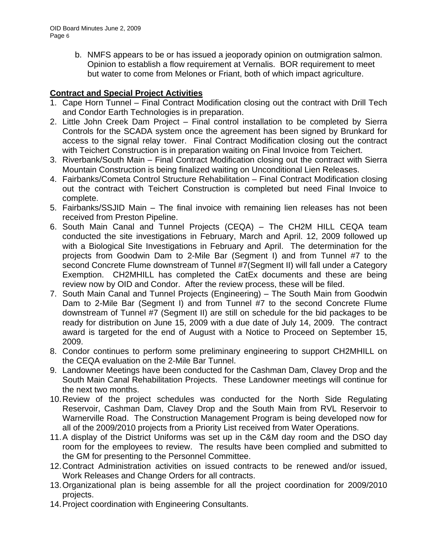b. NMFS appears to be or has issued a jeoporady opinion on outmigration salmon. Opinion to establish a flow requirement at Vernalis. BOR requirement to meet but water to come from Melones or Friant, both of which impact agriculture.

# **Contract and Special Project Activities**

- 1. Cape Horn Tunnel Final Contract Modification closing out the contract with Drill Tech and Condor Earth Technologies is in preparation.
- 2. Little John Creek Dam Project Final control installation to be completed by Sierra Controls for the SCADA system once the agreement has been signed by Brunkard for access to the signal relay tower. Final Contract Modification closing out the contract with Teichert Construction is in preparation waiting on Final Invoice from Teichert.
- 3. Riverbank/South Main Final Contract Modification closing out the contract with Sierra Mountain Construction is being finalized waiting on Unconditional Lien Releases.
- 4. Fairbanks/Cometa Control Structure Rehabilitation Final Contract Modification closing out the contract with Teichert Construction is completed but need Final Invoice to complete.
- 5. Fairbanks/SSJID Main The final invoice with remaining lien releases has not been received from Preston Pipeline.
- 6. South Main Canal and Tunnel Projects (CEQA) The CH2M HILL CEQA team conducted the site investigations in February, March and April. 12, 2009 followed up with a Biological Site Investigations in February and April. The determination for the projects from Goodwin Dam to 2-Mile Bar (Segment I) and from Tunnel #7 to the second Concrete Flume downstream of Tunnel #7(Segment II) will fall under a Category Exemption. CH2MHILL has completed the CatEx documents and these are being review now by OID and Condor. After the review process, these will be filed.
- 7. South Main Canal and Tunnel Projects (Engineering) The South Main from Goodwin Dam to 2-Mile Bar (Segment I) and from Tunnel #7 to the second Concrete Flume downstream of Tunnel #7 (Segment II) are still on schedule for the bid packages to be ready for distribution on June 15, 2009 with a due date of July 14, 2009. The contract award is targeted for the end of August with a Notice to Proceed on September 15, 2009.
- 8. Condor continues to perform some preliminary engineering to support CH2MHILL on the CEQA evaluation on the 2-Mile Bar Tunnel.
- 9. Landowner Meetings have been conducted for the Cashman Dam, Clavey Drop and the South Main Canal Rehabilitation Projects. These Landowner meetings will continue for the next two months.
- 10. Review of the project schedules was conducted for the North Side Regulating Reservoir, Cashman Dam, Clavey Drop and the South Main from RVL Reservoir to Warnerville Road. The Construction Management Program is being developed now for all of the 2009/2010 projects from a Priority List received from Water Operations.
- 11. A display of the District Uniforms was set up in the C&M day room and the DSO day room for the employees to review. The results have been complied and submitted to the GM for presenting to the Personnel Committee.
- 12. Contract Administration activities on issued contracts to be renewed and/or issued, Work Releases and Change Orders for all contracts.
- 13. Organizational plan is being assemble for all the project coordination for 2009/2010 projects.
- 14. Project coordination with Engineering Consultants.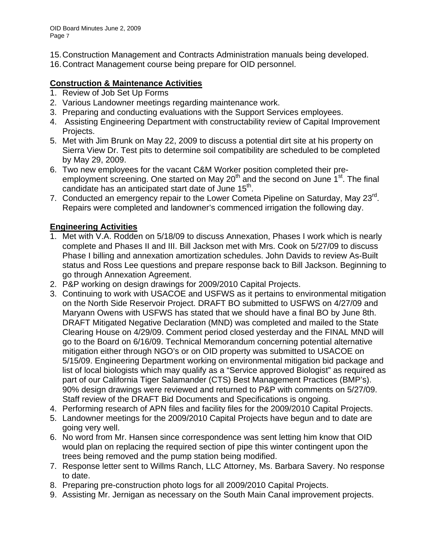- 15. Construction Management and Contracts Administration manuals being developed.
- 16. Contract Management course being prepare for OID personnel.

# **Construction & Maintenance Activities**

- 1. Review of Job Set Up Forms
- 2. Various Landowner meetings regarding maintenance work.
- 3. Preparing and conducting evaluations with the Support Services employees.
- 4. Assisting Engineering Department with constructability review of Capital Improvement Projects.
- 5. Met with Jim Brunk on May 22, 2009 to discuss a potential dirt site at his property on Sierra View Dr. Test pits to determine soil compatibility are scheduled to be completed by May 29, 2009.
- 6. Two new employees for the vacant C&M Worker position completed their preemployment screening. One started on May 20<sup>th</sup> and the second on June 1<sup>st</sup>. The final candidate has an anticipated start date of June  $15<sup>th</sup>$ .
- 7. Conducted an emergency repair to the Lower Cometa Pipeline on Saturday, May 23<sup>rd</sup>. Repairs were completed and landowner's commenced irrigation the following day.

# **Engineering Activities**

- 1. Met with V.A. Rodden on 5/18/09 to discuss Annexation, Phases I work which is nearly complete and Phases II and III. Bill Jackson met with Mrs. Cook on 5/27/09 to discuss Phase I billing and annexation amortization schedules. John Davids to review As-Built status and Ross Lee questions and prepare response back to Bill Jackson. Beginning to go through Annexation Agreement.
- 2. P&P working on design drawings for 2009/2010 Capital Projects.
- 3. Continuing to work with USACOE and USFWS as it pertains to environmental mitigation on the North Side Reservoir Project. DRAFT BO submitted to USFWS on 4/27/09 and Maryann Owens with USFWS has stated that we should have a final BO by June 8th. DRAFT Mitigated Negative Declaration (MND) was completed and mailed to the State Clearing House on 4/29/09. Comment period closed yesterday and the FINAL MND will go to the Board on 6/16/09. Technical Memorandum concerning potential alternative mitigation either through NGO's or on OID property was submitted to USACOE on 5/15/09. Engineering Department working on environmental mitigation bid package and list of local biologists which may qualify as a "Service approved Biologist" as required as part of our California Tiger Salamander (CTS) Best Management Practices (BMP's). 90% design drawings were reviewed and returned to P&P with comments on 5/27/09. Staff review of the DRAFT Bid Documents and Specifications is ongoing.
- 4. Performing research of APN files and facility files for the 2009/2010 Capital Projects.
- 5. Landowner meetings for the 2009/2010 Capital Projects have begun and to date are going very well.
- 6. No word from Mr. Hansen since correspondence was sent letting him know that OID would plan on replacing the required section of pipe this winter contingent upon the trees being removed and the pump station being modified.
- 7. Response letter sent to Willms Ranch, LLC Attorney, Ms. Barbara Savery. No response to date.
- 8. Preparing pre-construction photo logs for all 2009/2010 Capital Projects.
- 9. Assisting Mr. Jernigan as necessary on the South Main Canal improvement projects.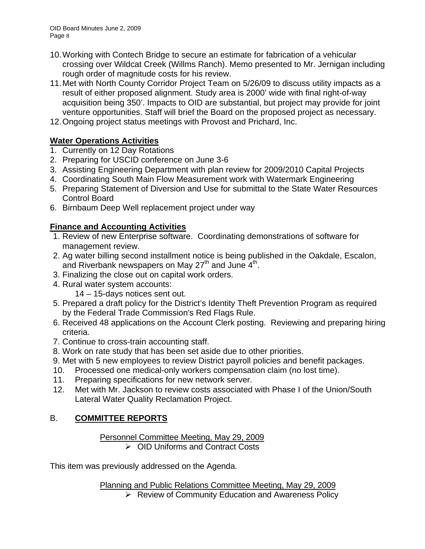- 10. Working with Contech Bridge to secure an estimate for fabrication of a vehicular crossing over Wildcat Creek (Willms Ranch). Memo presented to Mr. Jernigan including rough order of magnitude costs for his review.
- 11. Met with North County Corridor Project Team on 5/26/09 to discuss utility impacts as a result of either proposed alignment. Study area is 2000' wide with final right-of-way acquisition being 350'. Impacts to OID are substantial, but project may provide for joint venture opportunities. Staff will brief the Board on the proposed project as necessary.
- 12. Ongoing project status meetings with Provost and Prichard, Inc.

# **Water Operations Activities**

- 1. Currently on 12 Day Rotations
- 2. Preparing for USCID conference on June 3-6
- 3. Assisting Engineering Department with plan review for 2009/2010 Capital Projects
- 4. Coordinating South Main Flow Measurement work with Watermark Engineering
- 5. Preparing Statement of Diversion and Use for submittal to the State Water Resources Control Board
- 6. Birnbaum Deep Well replacement project under way

# **Finance and Accounting Activities**

- 1. Review of new Enterprise software. Coordinating demonstrations of software for management review.
- 2. Ag water billing second installment notice is being published in the Oakdale, Escalon, and Riverbank newspapers on May 27<sup>th</sup> and June  $4<sup>th</sup>$ .
- 3. Finalizing the close out on capital work orders.
- 4. Rural water system accounts:
	- 14 15-days notices sent out.
- 5. Prepared a draft policy for the District's Identity Theft Prevention Program as required by the Federal Trade Commission's Red Flags Rule.
- 6. Received 48 applications on the Account Clerk posting. Reviewing and preparing hiring criteria.
- 7. Continue to cross-train accounting staff.
- 8. Work on rate study that has been set aside due to other priorities.
- 9. Met with 5 new employees to review District payroll policies and benefit packages.
- 10. Processed one medical-only workers compensation claim (no lost time).
- 11. Preparing specifications for new network server.
- 12. Met with Mr. Jackson to review costs associated with Phase I of the Union/South Lateral Water Quality Reclamation Project.

# B. **COMMITTEE REPORTS**

## Personnel Committee Meeting, May 29, 2009 ¾ OID Uniforms and Contract Costs

This item was previously addressed on the Agenda.

Planning and Public Relations Committee Meeting, May 29, 2009

 $\triangleright$  Review of Community Education and Awareness Policy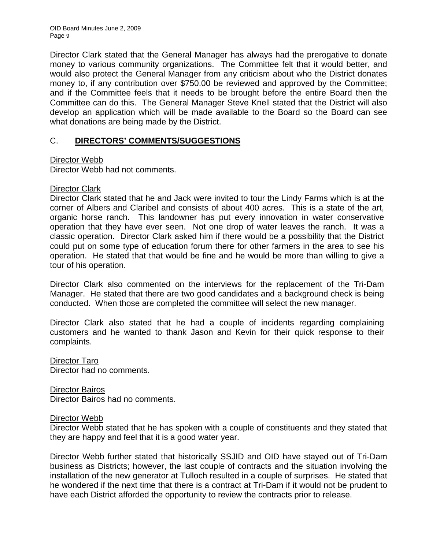Director Clark stated that the General Manager has always had the prerogative to donate money to various community organizations. The Committee felt that it would better, and would also protect the General Manager from any criticism about who the District donates money to, if any contribution over \$750.00 be reviewed and approved by the Committee; and if the Committee feels that it needs to be brought before the entire Board then the Committee can do this. The General Manager Steve Knell stated that the District will also develop an application which will be made available to the Board so the Board can see what donations are being made by the District.

# C. **DIRECTORS' COMMENTS/SUGGESTIONS**

# Director Webb

Director Webb had not comments.

# Director Clark

Director Clark stated that he and Jack were invited to tour the Lindy Farms which is at the corner of Albers and Claribel and consists of about 400 acres. This is a state of the art, organic horse ranch. This landowner has put every innovation in water conservative operation that they have ever seen. Not one drop of water leaves the ranch. It was a classic operation. Director Clark asked him if there would be a possibility that the District could put on some type of education forum there for other farmers in the area to see his operation. He stated that that would be fine and he would be more than willing to give a tour of his operation.

Director Clark also commented on the interviews for the replacement of the Tri-Dam Manager. He stated that there are two good candidates and a background check is being conducted. When those are completed the committee will select the new manager.

Director Clark also stated that he had a couple of incidents regarding complaining customers and he wanted to thank Jason and Kevin for their quick response to their complaints.

Director Taro Director had no comments.

Director Bairos Director Bairos had no comments.

## Director Webb

Director Webb stated that he has spoken with a couple of constituents and they stated that they are happy and feel that it is a good water year.

Director Webb further stated that historically SSJID and OID have stayed out of Tri-Dam business as Districts; however, the last couple of contracts and the situation involving the installation of the new generator at Tulloch resulted in a couple of surprises. He stated that he wondered if the next time that there is a contract at Tri-Dam if it would not be prudent to have each District afforded the opportunity to review the contracts prior to release.